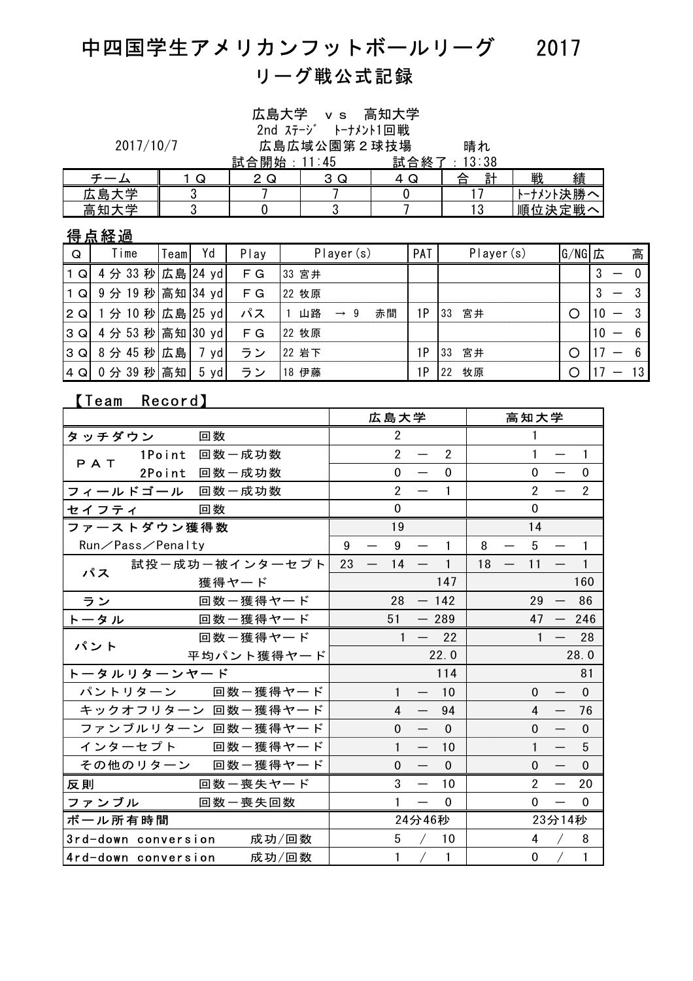## 中四国学生アメリカンフットボールリーグ 2017 リーグ戦公式記録

|     | 2017/10/7        |            |                   | <u>試合開始: 11:</u> 45 |  | 広島大学 vs<br>$2nd \lambda \bar{\tau} - \nu^*$ |                 |  | 高知大学<br>トーナメント1回戦<br>広島広域公園第2球技場 |    | 晴れ<br>: 13:38<br><u> 試合終了</u> |             |        |         |    |   |                |  |  |
|-----|------------------|------------|-------------------|---------------------|--|---------------------------------------------|-----------------|--|----------------------------------|----|-------------------------------|-------------|--------|---------|----|---|----------------|--|--|
|     | チーム              |            | 1 Q               | 2Q                  |  |                                             | 3 Q             |  | 4Q                               |    |                               | 戦<br>計<br>合 |        |         | 績  |   |                |  |  |
|     | 広島大学             |            | 3                 |                     |  |                                             |                 |  | $\boldsymbol{0}$                 |    | 17                            | トーナメント決勝へ   |        |         |    |   |                |  |  |
|     | 高知大学             |            | 3                 | 0                   |  | 3                                           |                 |  | 7                                |    | 13                            | 順位決定戦へ      |        |         |    |   |                |  |  |
|     | <u>得点経過</u>      |            |                   |                     |  |                                             |                 |  |                                  |    |                               |             |        |         |    |   |                |  |  |
| Q   | Time             | Yd<br>Team |                   | Play                |  | Player(s)                                   |                 |  | PAT                              |    | Player (s)                    |             | G/NG 広 |         |    | 高 |                |  |  |
| 1 Q | 4分 33秒           |            | 広島 24 yd          | F G                 |  | 33 宮井                                       |                 |  |                                  |    |                               |             |        |         | 3  |   | $\overline{0}$ |  |  |
| 1 Q | 9分19秒            |            | 高知 34 yd          | F G                 |  | 22 牧原                                       |                 |  |                                  |    |                               |             |        |         | 3  |   | 3              |  |  |
| 2Q  | 1分 10 秒 広島 25 yd |            |                   | パス                  |  | 1 山路                                        | $\rightarrow$ 9 |  | 赤間                               | 1P | 33                            | 宮井          |        | O       | 10 |   | -3             |  |  |
| 3Q  | 4 分 53 秒高知       |            | $ 30 \text{ yd} $ | F G                 |  | 22 牧原                                       |                 |  |                                  |    |                               |             |        |         | 10 |   | 6              |  |  |
| 3 Q | 8分45秒            | 広島         | 7 yd              | ラン                  |  | 22 岩下                                       |                 |  |                                  | 1P | 33                            | 宮井          |        | $\circ$ |    |   | 6              |  |  |
| 4Q  | 0分 39 秒高知        |            | $5 \text{yd}$     | ラン                  |  | 18 伊藤                                       |                 |  |                                  | 1P | 22                            | 牧原          |        | $\circ$ |    |   | 13             |  |  |

### 【Team Record】

|                           |       |                                | 広島大学                                                         |           | 高知大学                             |
|---------------------------|-------|--------------------------------|--------------------------------------------------------------|-----------|----------------------------------|
| タッチダウン<br>回数              |       |                                | $\overline{2}$                                               |           | 1                                |
| 1Point 回数一成功数<br>PAT      |       |                                | $\overline{2}$<br>$\overline{2}$<br>$\overline{\phantom{m}}$ |           | $\mathbf{1}$<br>$\mathbf{1}$     |
| 2Point 回数一成功数             |       |                                | $\mathbf 0$<br>$\Omega$                                      |           | 0<br>$\Omega$                    |
| フィールドゴール 回数一成功数           |       |                                | $\overline{2}$<br>1                                          |           | $\overline{2}$<br>$\overline{2}$ |
| 回数<br>セイフティ               |       |                                | $\mathbf 0$                                                  |           | $\Omega$                         |
| ファーストダウン獲得数               |       |                                | 19                                                           |           | 14                               |
| Run/Pass/Penalty          |       | 9                              | 9<br>1                                                       | 8         | 5<br>$\mathbf{1}$                |
| 試投ー成功ー被インターセプト<br>パス      |       | 23<br>$\overline{\phantom{m}}$ | 14<br>$\mathbf{1}$                                           | 18<br>$-$ | $\mathbf{1}$<br>11               |
| 獲得ヤード                     |       |                                | 147                                                          |           | 160                              |
| ラン<br>回数ー獲得ヤード            |       |                                | 28<br>$-142$                                                 |           | 86<br>29                         |
| 回数ー獲得ヤード<br>トータル          |       |                                | 51<br>$-289$                                                 |           | 47<br>246                        |
| 回数ー獲得ヤード<br>パント           |       |                                | 22<br>$\mathbf{1}$<br>$\overline{\phantom{a}}$               |           | $\mathbf{1}$<br>28               |
| 平均パント獲得ヤード                |       |                                | 22.0                                                         |           | 28.0                             |
| トータルリターンヤード               |       |                                | 114                                                          |           | 81                               |
| パントリターン 回数一獲得ヤード          |       |                                | $\mathbf{1}$<br>10                                           |           | $\mathbf{0}$<br>$\mathbf{0}$     |
| キックオフリターン 回数一獲得ヤード        |       |                                | 4<br>94                                                      |           | $\overline{4}$<br>76             |
| ファンブルリターン 回数一獲得ヤード        |       |                                | $\overline{0}$<br>$\Omega$                                   |           | $\mathbf 0$<br>$\Omega$          |
| インターセプト 回数一獲得ヤード          |       |                                | $\mathbf{1}$<br>10                                           |           | $\mathbf{1}$<br>5                |
| その他のリターン 回数一獲得ヤード         |       |                                | $\mathbf 0$<br>$\mathbf{0}$                                  |           | $\mathbf 0$<br>$\Omega$          |
| 反則<br>回数ー喪失ヤード            |       |                                | 3<br>10                                                      |           | $\overline{2}$<br>20             |
| ファンブル<br>回数一喪失回数          |       |                                | $\mathbf{1}$<br>$\Omega$                                     |           | $\Omega$<br>$\mathbf 0$          |
| ボール所有時間                   |       |                                | 24分46秒                                                       |           | 23分14秒                           |
| 3rd-down conversion 成功/回数 |       |                                | 5<br>10                                                      |           | 4<br>8                           |
| 4rd-down conversion       | 成功/回数 |                                | 1<br>1                                                       |           | $\mathbf{1}$<br>$\mathbf 0$      |